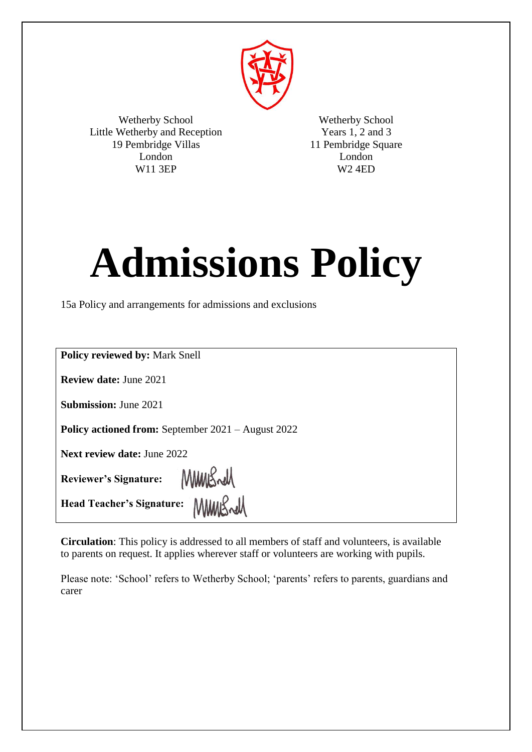

Wetherby School Little Wetherby and Reception 19 Pembridge Villas London W11 3EP

Wetherby School Years 1, 2 and 3 11 Pembridge Square London W2 4ED

# **Admissions Policy**

15a Policy and arrangements for admissions and exclusions

| <b>Policy reviewed by: Mark Snell</b>                     |
|-----------------------------------------------------------|
| <b>Review date: June 2021</b>                             |
| <b>Submission: June 2021</b>                              |
| <b>Policy actioned from:</b> September 2021 – August 2022 |
| <b>Next review date: June 2022</b>                        |
| Reviewer's Signature: MMMSwM                              |
| Head Teacher's Signature:                                 |

**Circulation**: This policy is addressed to all members of staff and volunteers, is available to parents on request. It applies wherever staff or volunteers are working with pupils.

Please note: 'School' refers to Wetherby School; 'parents' refers to parents, guardians and carer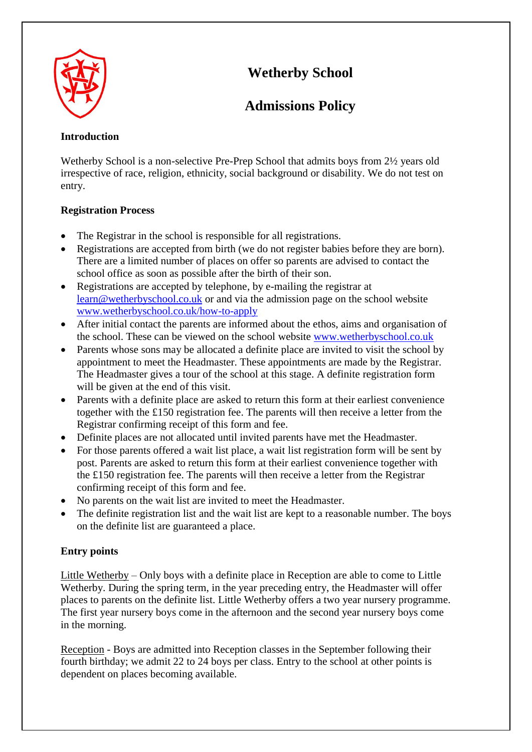

# **Wetherby School**

# **Admissions Policy**

# **Introduction**

Wetherby School is a non-selective Pre-Prep School that admits boys from 2½ years old irrespective of race, religion, ethnicity, social background or disability. We do not test on entry.

# **Registration Process**

- The Registrar in the school is responsible for all registrations.
- Registrations are accepted from birth (we do not register babies before they are born). There are a limited number of places on offer so parents are advised to contact the school office as soon as possible after the birth of their son.
- Registrations are accepted by telephone, by e-mailing the registrar at [learn@wetherbyschool.co.uk](mailto:learn@wetherbyschool.co.uk) or and via the admission page on the school website [www.wetherbyschool.co.uk/how-to-apply](http://www.wetherbyschool.co.uk/how-to-apply/)
- After initial contact the parents are informed about the ethos, aims and organisation of the school. These can be viewed on the school website [www.wetherbyschool.co.uk](http://www.wetherbyschool.co.uk/)
- Parents whose sons may be allocated a definite place are invited to visit the school by appointment to meet the Headmaster. These appointments are made by the Registrar. The Headmaster gives a tour of the school at this stage. A definite registration form will be given at the end of this visit.
- Parents with a definite place are asked to return this form at their earliest convenience together with the £150 registration fee. The parents will then receive a letter from the Registrar confirming receipt of this form and fee.
- Definite places are not allocated until invited parents have met the Headmaster.
- For those parents offered a wait list place, a wait list registration form will be sent by post. Parents are asked to return this form at their earliest convenience together with the £150 registration fee. The parents will then receive a letter from the Registrar confirming receipt of this form and fee.
- No parents on the wait list are invited to meet the Headmaster.
- The definite registration list and the wait list are kept to a reasonable number. The boys on the definite list are guaranteed a place.

# **Entry points**

Little Wetherby – Only boys with a definite place in Reception are able to come to Little Wetherby. During the spring term, in the year preceding entry, the Headmaster will offer places to parents on the definite list. Little Wetherby offers a two year nursery programme. The first year nursery boys come in the afternoon and the second year nursery boys come in the morning.

Reception - Boys are admitted into Reception classes in the September following their fourth birthday; we admit 22 to 24 boys per class. Entry to the school at other points is dependent on places becoming available.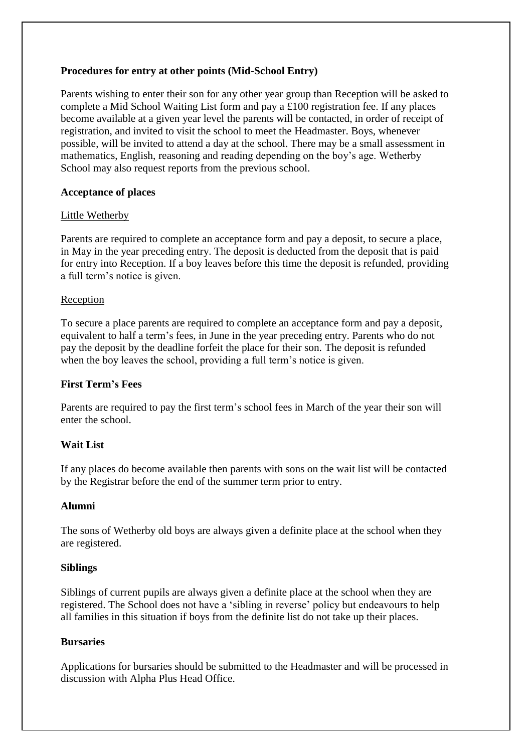## **Procedures for entry at other points (Mid-School Entry)**

Parents wishing to enter their son for any other year group than Reception will be asked to complete a Mid School Waiting List form and pay a £100 registration fee. If any places become available at a given year level the parents will be contacted, in order of receipt of registration, and invited to visit the school to meet the Headmaster. Boys, whenever possible, will be invited to attend a day at the school. There may be a small assessment in mathematics, English, reasoning and reading depending on the boy's age. Wetherby School may also request reports from the previous school.

## **Acceptance of places**

## Little Wetherby

Parents are required to complete an acceptance form and pay a deposit, to secure a place, in May in the year preceding entry. The deposit is deducted from the deposit that is paid for entry into Reception. If a boy leaves before this time the deposit is refunded, providing a full term's notice is given.

## **Reception**

To secure a place parents are required to complete an acceptance form and pay a deposit, equivalent to half a term's fees, in June in the year preceding entry. Parents who do not pay the deposit by the deadline forfeit the place for their son. The deposit is refunded when the boy leaves the school, providing a full term's notice is given.

# **First Term's Fees**

Parents are required to pay the first term's school fees in March of the year their son will enter the school.

# **Wait List**

If any places do become available then parents with sons on the wait list will be contacted by the Registrar before the end of the summer term prior to entry.

#### **Alumni**

The sons of Wetherby old boys are always given a definite place at the school when they are registered.

#### **Siblings**

Siblings of current pupils are always given a definite place at the school when they are registered. The School does not have a 'sibling in reverse' policy but endeavours to help all families in this situation if boys from the definite list do not take up their places.

#### **Bursaries**

Applications for bursaries should be submitted to the Headmaster and will be processed in discussion with Alpha Plus Head Office.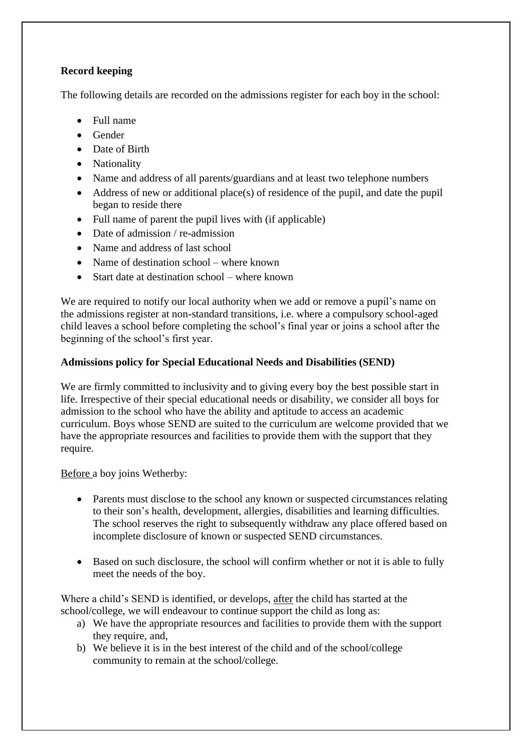# **Record keeping**

The following details are recorded on the admissions register for each boy in the school:

- Full name
- Gender
- Date of Birth
- Nationality
- Name and address of all parents/guardians and at least two telephone numbers
- Address of new or additional place(s) of residence of the pupil, and date the pupil began to reside there
- Full name of parent the pupil lives with (if applicable)
- Date of admission / re-admission
- Name and address of last school
- Name of destination school where known
- Start date at destination school where known

We are required to notify our local authority when we add or remove a pupil's name on the admissions register at non-standard transitions, i.e. where a compulsory school-aged child leaves a school before completing the school's final year or joins a school after the beginning of the school's first year.

# **Admissions policy for Special Educational Needs and Disabilities (SEND)**

We are firmly committed to inclusivity and to giving every boy the best possible start in life. Irrespective of their special educational needs or disability, we consider all boys for admission to the school who have the ability and aptitude to access an academic curriculum. Boys whose SEND are suited to the curriculum are welcome provided that we have the appropriate resources and facilities to provide them with the support that they require.

#### Before a boy joins Wetherby:

- Parents must disclose to the school any known or suspected circumstances relating to their son's health, development, allergies, disabilities and learning difficulties. The school reserves the right to subsequently withdraw any place offered based on incomplete disclosure of known or suspected SEND circumstances.
- Based on such disclosure, the school will confirm whether or not it is able to fully meet the needs of the boy.

Where a child's SEND is identified, or develops, after the child has started at the school/college, we will endeavour to continue support the child as long as:

- a) We have the appropriate resources and facilities to provide them with the support they require, and,
- b) We believe it is in the best interest of the child and of the school/college community to remain at the school/college.